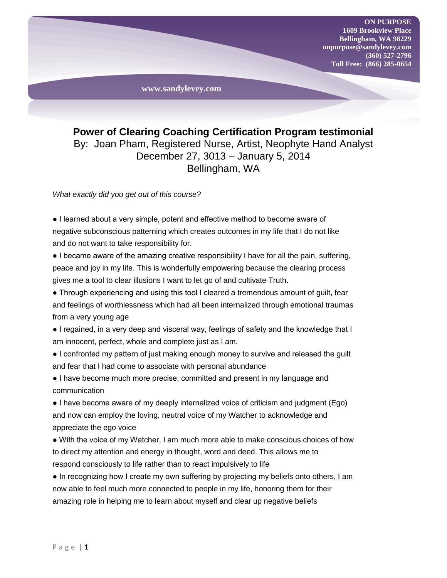

**Power of Clearing Coaching Certification Program testimonial** By: Joan Pham, Registered Nurse, Artist, Neophyte Hand Analyst December 27, 3013 – January 5, 2014 Bellingham, WA

*What exactly did you get out of this course?*

● I learned about a very simple, potent and effective method to become aware of negative subconscious patterning which creates outcomes in my life that I do not like and do not want to take responsibility for.

● I became aware of the amazing creative responsibility I have for all the pain, suffering, peace and joy in my life. This is wonderfully empowering because the clearing process gives me a tool to clear illusions I want to let go of and cultivate Truth.

• Through experiencing and using this tool I cleared a tremendous amount of guilt, fear and feelings of worthlessness which had all been internalized through emotional traumas from a very young age

● I regained, in a very deep and visceral way, feelings of safety and the knowledge that I am innocent, perfect, whole and complete just as I am.

● I confronted my pattern of just making enough money to survive and released the guilt and fear that I had come to associate with personal abundance

● I have become much more precise, committed and present in my language and communication

● I have become aware of my deeply internalized voice of criticism and judgment (Ego) and now can employ the loving, neutral voice of my Watcher to acknowledge and appreciate the ego voice

● With the voice of my Watcher, I am much more able to make conscious choices of how to direct my attention and energy in thought, word and deed. This allows me to respond consciously to life rather than to react impulsively to life

• In recognizing how I create my own suffering by projecting my beliefs onto others, I am now able to feel much more connected to people in my life, honoring them for their amazing role in helping me to learn about myself and clear up negative beliefs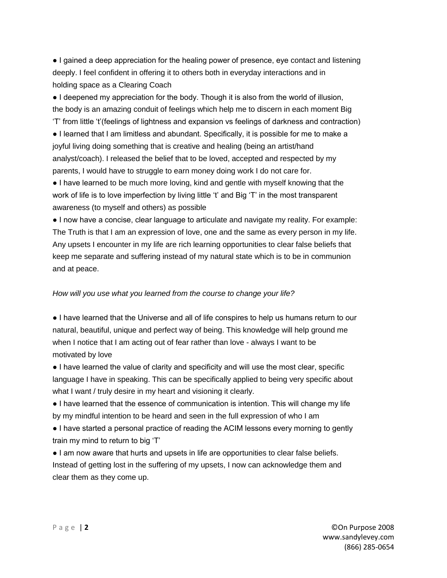● I gained a deep appreciation for the healing power of presence, eye contact and listening deeply. I feel confident in offering it to others both in everyday interactions and in holding space as a Clearing Coach

● I deepened my appreciation for the body. Though it is also from the world of illusion, the body is an amazing conduit of feelings which help me to discern in each moment Big 'T' from little 't'(feelings of lightness and expansion vs feelings of darkness and contraction)

● I learned that I am limitless and abundant. Specifically, it is possible for me to make a joyful living doing something that is creative and healing (being an artist/hand analyst/coach). I released the belief that to be loved, accepted and respected by my parents, I would have to struggle to earn money doing work I do not care for.

● I have learned to be much more loving, kind and gentle with myself knowing that the work of life is to love imperfection by living little 't' and Big 'T' in the most transparent awareness (to myself and others) as possible

● I now have a concise, clear language to articulate and navigate my reality. For example: The Truth is that I am an expression of love, one and the same as every person in my life. Any upsets I encounter in my life are rich learning opportunities to clear false beliefs that keep me separate and suffering instead of my natural state which is to be in communion and at peace.

## *How will you use what you learned from the course to change your life?*

● I have learned that the Universe and all of life conspires to help us humans return to our natural, beautiful, unique and perfect way of being. This knowledge will help ground me when I notice that I am acting out of fear rather than love - always I want to be motivated by love

● I have learned the value of clarity and specificity and will use the most clear, specific language I have in speaking. This can be specifically applied to being very specific about what I want / truly desire in my heart and visioning it clearly.

● I have learned that the essence of communication is intention. This will change my life by my mindful intention to be heard and seen in the full expression of who I am

● I have started a personal practice of reading the ACIM lessons every morning to gently train my mind to return to big 'T'

● I am now aware that hurts and upsets in life are opportunities to clear false beliefs. Instead of getting lost in the suffering of my upsets, I now can acknowledge them and clear them as they come up.